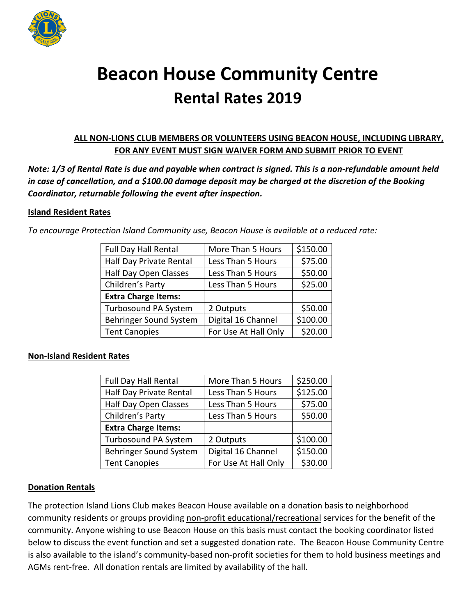

# **Beacon House Community Centre Rental Rates 2019**

# **ALL NON-LIONS CLUB MEMBERS OR VOLUNTEERS USING BEACON HOUSE, INCLUDING LIBRARY, FOR ANY EVENT MUST SIGN WAIVER FORM AND SUBMIT PRIOR TO EVENT**

*Note: 1/3 of Rental Rate is due and payable when contract is signed. This is a non-refundable amount held in case of cancellation, and a \$100.00 damage deposit may be charged at the discretion of the Booking Coordinator, returnable following the event after inspection.* 

### **Island Resident Rates**

*To encourage Protection Island Community use, Beacon House is available at a reduced rate:*

| Full Day Hall Rental       | More Than 5 Hours    | \$150.00 |
|----------------------------|----------------------|----------|
| Half Day Private Rental    | Less Than 5 Hours    | \$75.00  |
| Half Day Open Classes      | Less Than 5 Hours    | \$50.00  |
| Children's Party           | Less Than 5 Hours    | \$25.00  |
| <b>Extra Charge Items:</b> |                      |          |
| Turbosound PA System       | 2 Outputs            | \$50.00  |
| Behringer Sound System     | Digital 16 Channel   | \$100.00 |
| <b>Tent Canopies</b>       | For Use At Hall Only | \$20.00  |
|                            |                      |          |

#### **Non-Island Resident Rates**

| <b>Full Day Hall Rental</b> | More Than 5 Hours    | \$250.00 |
|-----------------------------|----------------------|----------|
| Half Day Private Rental     | Less Than 5 Hours    | \$125.00 |
|                             |                      |          |
| Half Day Open Classes       | Less Than 5 Hours    | \$75.00  |
| Children's Party            | Less Than 5 Hours    | \$50.00  |
| <b>Extra Charge Items:</b>  |                      |          |
|                             |                      |          |
| Turbosound PA System        | 2 Outputs            | \$100.00 |
| Behringer Sound System      | Digital 16 Channel   | \$150.00 |
| <b>Tent Canopies</b>        | For Use At Hall Only | \$30.00  |

#### **Donation Rentals**

The protection Island Lions Club makes Beacon House available on a donation basis to neighborhood community residents or groups providing non-profit educational/recreational services for the benefit of the community. Anyone wishing to use Beacon House on this basis must contact the booking coordinator listed below to discuss the event function and set a suggested donation rate. The Beacon House Community Centre is also available to the island's community-based non-profit societies for them to hold business meetings and AGMs rent-free. All donation rentals are limited by availability of the hall.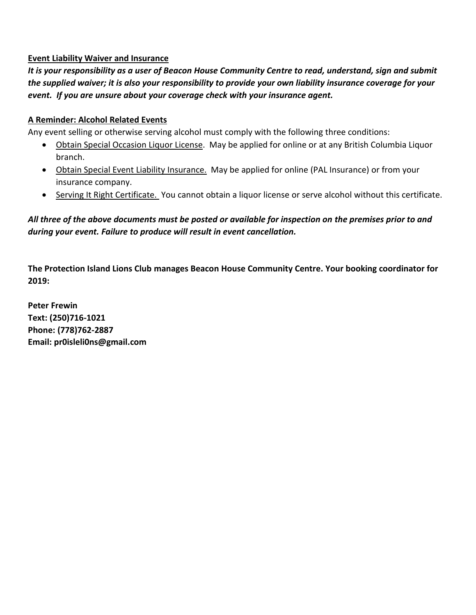### **Event Liability Waiver and Insurance**

*It is your responsibility as a user of Beacon House Community Centre to read, understand, sign and submit the supplied waiver; it is also your responsibility to provide your own liability insurance coverage for your event. If you are unsure about your coverage check with your insurance agent.*

### **A Reminder: Alcohol Related Events**

Any event selling or otherwise serving alcohol must comply with the following three conditions:

- Obtain Special Occasion Liquor License. May be applied for online or at any British Columbia Liquor branch.
- Obtain Special Event Liability Insurance. May be applied for online (PAL Insurance) or from your insurance company.
- Serving It Right Certificate. You cannot obtain a liquor license or serve alcohol without this certificate.

# *All three of the above documents must be posted or available for inspection on the premises prior to and during your event. Failure to produce will result in event cancellation.*

**The Protection Island Lions Club manages Beacon House Community Centre. Your booking coordinator for 2019:**

**Peter Frewin Text: (250)716-1021 Phone: (778)762-2887 Email: pr0isleli0ns@gmail.com**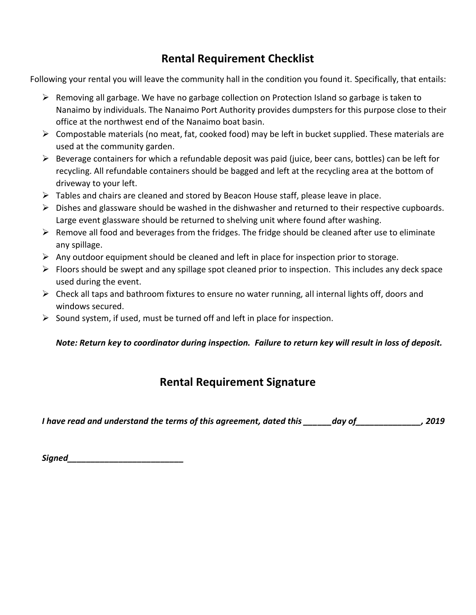# **Rental Requirement Checklist**

Following your rental you will leave the community hall in the condition you found it. Specifically, that entails:

- ➢ Removing all garbage. We have no garbage collection on Protection Island so garbage is taken to Nanaimo by individuals. The Nanaimo Port Authority provides dumpsters for this purpose close to their office at the northwest end of the Nanaimo boat basin.
- $\triangleright$  Compostable materials (no meat, fat, cooked food) may be left in bucket supplied. These materials are used at the community garden.
- $\triangleright$  Beverage containers for which a refundable deposit was paid (juice, beer cans, bottles) can be left for recycling. All refundable containers should be bagged and left at the recycling area at the bottom of driveway to your left.
- ➢ Tables and chairs are cleaned and stored by Beacon House staff, please leave in place.
- ➢ Dishes and glassware should be washed in the dishwasher and returned to their respective cupboards. Large event glassware should be returned to shelving unit where found after washing.
- $\triangleright$  Remove all food and beverages from the fridges. The fridge should be cleaned after use to eliminate any spillage.
- $\triangleright$  Any outdoor equipment should be cleaned and left in place for inspection prior to storage.
- $\triangleright$  Floors should be swept and any spillage spot cleaned prior to inspection. This includes any deck space used during the event.
- ➢ Check all taps and bathroom fixtures to ensure no water running, all internal lights off, doors and windows secured.
- $\triangleright$  Sound system, if used, must be turned off and left in place for inspection.

# *Note: Return key to coordinator during inspection. Failure to return key will result in loss of deposit.*

# **Rental Requirement Signature**

*I have read and understand the terms of this agreement, dated this \_\_\_\_\_\_day of\_\_\_\_\_\_\_\_\_\_\_\_\_\_, 2019*

*Signed\_\_\_\_\_\_\_\_\_\_\_\_\_\_\_\_\_\_\_\_\_\_\_\_\_*